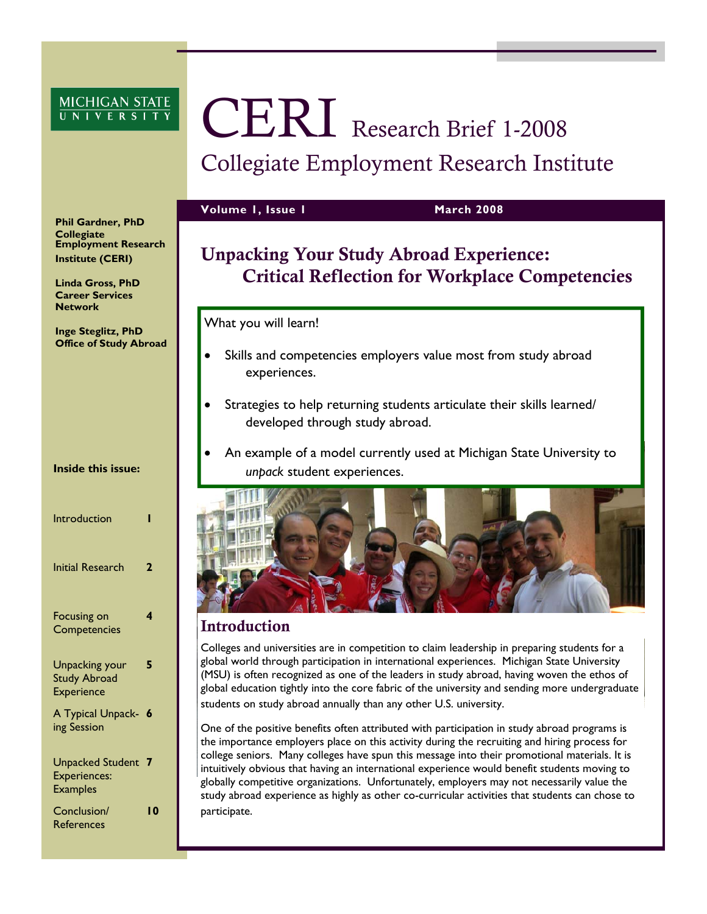# MICHIGAN STATE

# CERI Research Brief 1-2008 Collegiate Employment Research Institute

**Volume 1, Issue 1 March 2008** 

# Unpacking Your Study Abroad Experience: Critical Reflection for Workplace Competencies

What you will learn!

- Skills and competencies employers value most from study abroad experiences.
- Strategies to help returning students articulate their skills learned/ developed through study abroad.
- An example of a model currently used at Michigan State University to *unpack* student experiences.



# Introduction

Colleges and universities are in competition to claim leadership in preparing students for a global world through participation in international experiences. Michigan State University (MSU) is often recognized as one of the leaders in study abroad, having woven the ethos of global education tightly into the core fabric of the university and sending more undergraduate students on study abroad annually than any other U.S. university.

One of the positive benefits often attributed with participation in study abroad programs is the importance employers place on this activity during the recruiting and hiring process for college seniors. Many colleges have spun this message into their promotional materials. It is intuitively obvious that having an international experience would benefit students moving to globally competitive organizations. Unfortunately, employers may not necessarily value the study abroad experience as highly as other co-curricular activities that students can chose to participate.

**Phil Gardner, PhD Collegiate Employment Research Institute (CERI)** 

**Linda Gross, PhD Career Services Network** 

**Inge Steglitz, PhD Office of Study Abroad** 

**Inside this issue:** 

| Introduction                                                      |   |
|-------------------------------------------------------------------|---|
| Initial Research                                                  |   |
| Focusing on<br>Competencies                                       | 4 |
| <b>Unpacking your</b><br><b>Study Abroad</b><br><b>Experience</b> | 5 |
| A Typical Unpack-<br>ing Session                                  | 6 |
| <b>Unpacked Student</b><br><b>Experiences:</b><br><b>Examples</b> |   |

Conclusion/ **References** 

**10**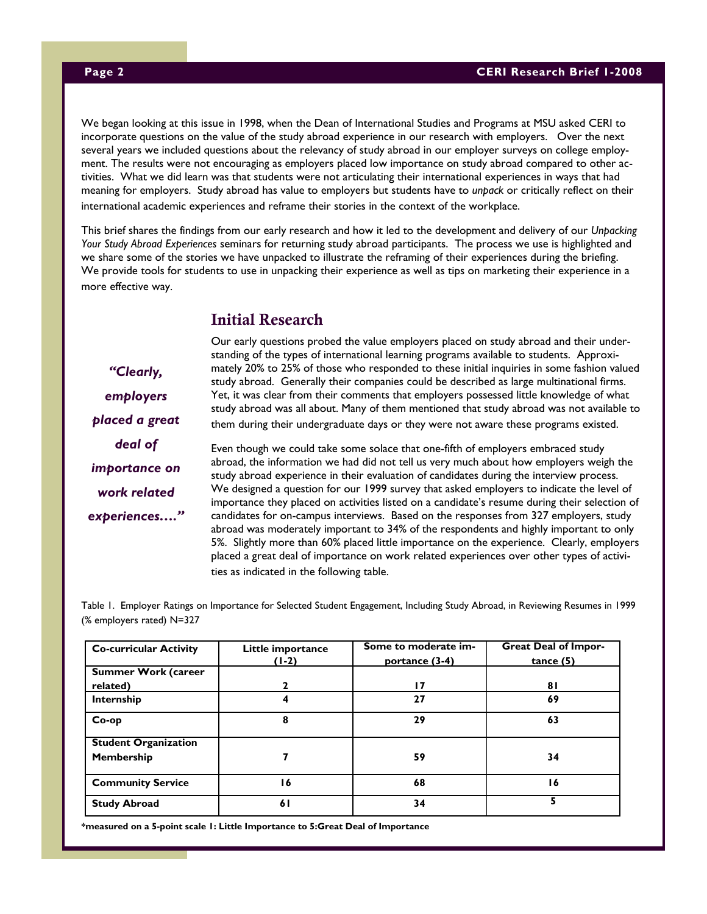We began looking at this issue in 1998, when the Dean of International Studies and Programs at MSU asked CERI to incorporate questions on the value of the study abroad experience in our research with employers. Over the next several years we included questions about the relevancy of study abroad in our employer surveys on college employment. The results were not encouraging as employers placed low importance on study abroad compared to other activities. What we did learn was that students were not articulating their international experiences in ways that had meaning for employers. Study abroad has value to employers but students have to *unpack* or critically reflect on their international academic experiences and reframe their stories in the context of the workplace.

This brief shares the findings from our early research and how it led to the development and delivery of our *Unpacking Your Study Abroad Experiences* seminars for returning study abroad participants. The process we use is highlighted and we share some of the stories we have unpacked to illustrate the reframing of their experiences during the briefing. We provide tools for students to use in unpacking their experience as well as tips on marketing their experience in a more effective way.

# Initial Research

*"Clearly, employers placed a great deal of importance on work related experiences…."*  Our early questions probed the value employers placed on study abroad and their understanding of the types of international learning programs available to students. Approximately 20% to 25% of those who responded to these initial inquiries in some fashion valued study abroad. Generally their companies could be described as large multinational firms. Yet, it was clear from their comments that employers possessed little knowledge of what study abroad was all about. Many of them mentioned that study abroad was not available to them during their undergraduate days or they were not aware these programs existed.

Even though we could take some solace that one-fifth of employers embraced study abroad, the information we had did not tell us very much about how employers weigh the study abroad experience in their evaluation of candidates during the interview process. We designed a question for our 1999 survey that asked employers to indicate the level of importance they placed on activities listed on a candidate's resume during their selection of candidates for on-campus interviews. Based on the responses from 327 employers, study abroad was moderately important to 34% of the respondents and highly important to only 5%. Slightly more than 60% placed little importance on the experience. Clearly, employers placed a great deal of importance on work related experiences over other types of activities as indicated in the following table.

Table 1. Employer Ratings on Importance for Selected Student Engagement, Including Study Abroad, in Reviewing Resumes in 1999 (% employers rated) N=327

| <b>Co-curricular Activity</b>             | Little importance<br>$(1-2)$ | Some to moderate im-<br>portance (3-4) | <b>Great Deal of Impor-</b><br>tance(5) |
|-------------------------------------------|------------------------------|----------------------------------------|-----------------------------------------|
| <b>Summer Work (career</b>                |                              |                                        |                                         |
| related)                                  |                              | 17                                     | 81                                      |
| Internship                                | 4                            | 27                                     | 69                                      |
| $Co$ -op                                  | 8                            | 29                                     | 63                                      |
| <b>Student Organization</b><br>Membership |                              | 59                                     | 34                                      |
| <b>Community Service</b>                  | ۱6                           | 68                                     | ۱6                                      |
| <b>Study Abroad</b>                       | 61                           | 34                                     |                                         |

**\*measured on a 5-point scale 1: Little Importance to 5:Great Deal of Importance**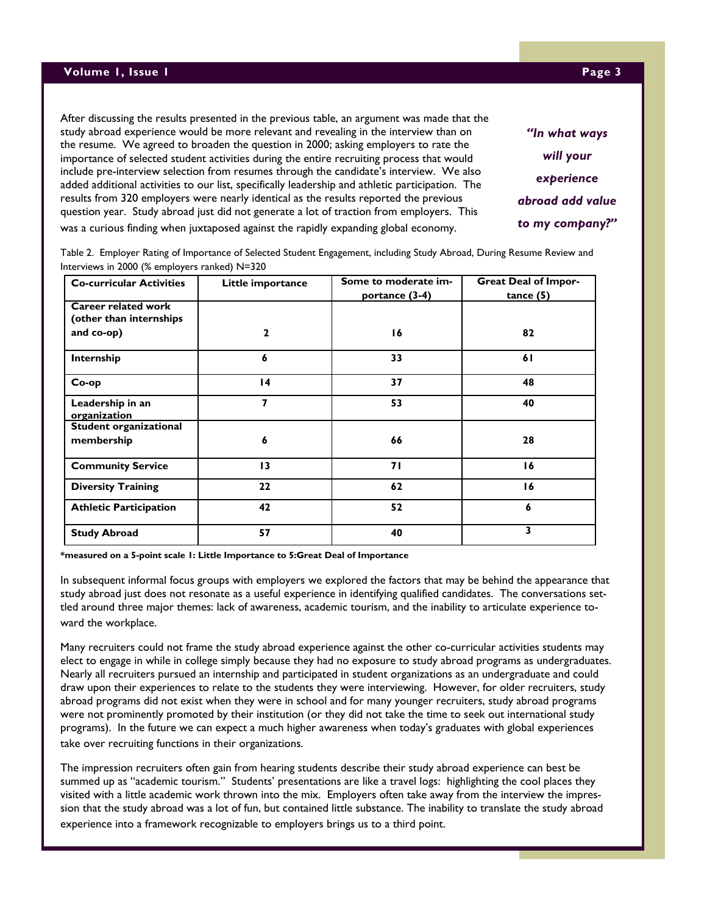After discussing the results presented in the previous table, an argument was made that the study abroad experience would be more relevant and revealing in the interview than on the resume. We agreed to broaden the question in 2000; asking employers to rate the importance of selected student activities during the entire recruiting process that would include pre-interview selection from resumes through the candidate's interview. We also added additional activities to our list, specifically leadership and athletic participation. The results from 320 employers were nearly identical as the results reported the previous question year. Study abroad just did not generate a lot of traction from employers. This was a curious finding when juxtaposed against the rapidly expanding global economy.

**Co-curricular Activities Little importance Some to moderate importance (3-4) Great Deal of Importance (5) Career related work (other than internships and co-op) 2 16 82 Internship 6 33 61 Co-op 14 37 48 Leadership in an organization 7 53 40 Student organizational membership 6 66 28 Community Service 13 71 16 Diversity Training 22 62 16 Athletic Participation 42 52 6 Study Abroad 57 40 3**

Table 2. Employer Rating of Importance of Selected Student Engagement, including Study Abroad, During Resume Review and Interviews in 2000 (% employers ranked) N=320

**\*measured on a 5-point scale 1: Little Importance to 5:Great Deal of Importance** 

In subsequent informal focus groups with employers we explored the factors that may be behind the appearance that study abroad just does not resonate as a useful experience in identifying qualified candidates. The conversations settled around three major themes: lack of awareness, academic tourism, and the inability to articulate experience toward the workplace.

Many recruiters could not frame the study abroad experience against the other co-curricular activities students may elect to engage in while in college simply because they had no exposure to study abroad programs as undergraduates. Nearly all recruiters pursued an internship and participated in student organizations as an undergraduate and could draw upon their experiences to relate to the students they were interviewing. However, for older recruiters, study abroad programs did not exist when they were in school and for many younger recruiters, study abroad programs were not prominently promoted by their institution (or they did not take the time to seek out international study programs). In the future we can expect a much higher awareness when today's graduates with global experiences take over recruiting functions in their organizations.

The impression recruiters often gain from hearing students describe their study abroad experience can best be summed up as "academic tourism." Students' presentations are like a travel logs: highlighting the cool places they visited with a little academic work thrown into the mix. Employers often take away from the interview the impression that the study abroad was a lot of fun, but contained little substance. The inability to translate the study abroad experience into a framework recognizable to employers brings us to a third point.

*"In what ways will your experience abroad add value to my company?"*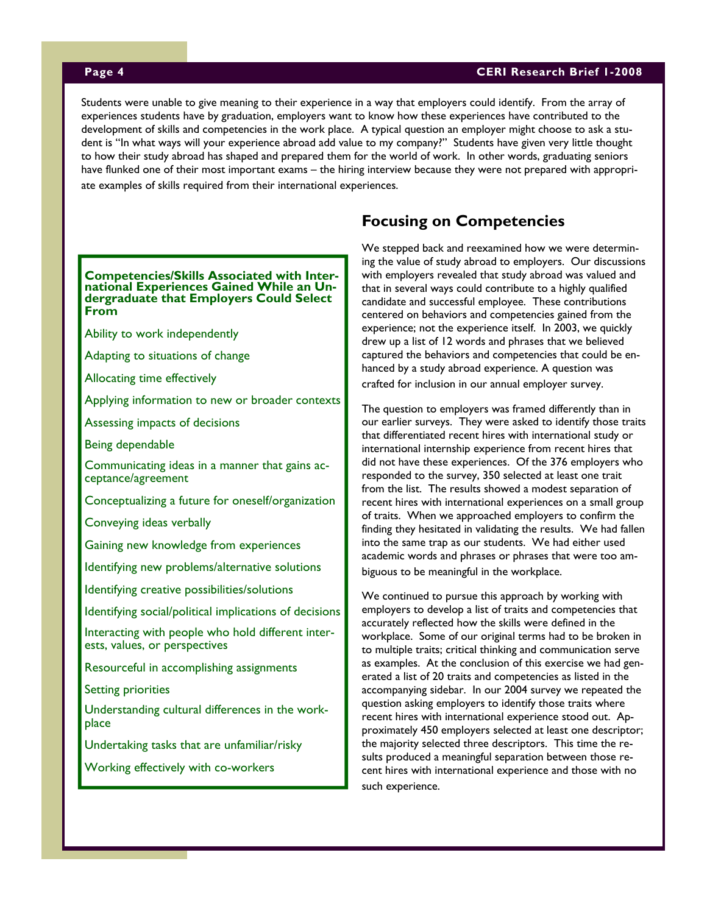# **Page 4 CERI Research Brief 1-2008**

Students were unable to give meaning to their experience in a way that employers could identify. From the array of experiences students have by graduation, employers want to know how these experiences have contributed to the development of skills and competencies in the work place. A typical question an employer might choose to ask a student is "In what ways will your experience abroad add value to my company?" Students have given very little thought to how their study abroad has shaped and prepared them for the world of work. In other words, graduating seniors have flunked one of their most important exams – the hiring interview because they were not prepared with appropriate examples of skills required from their international experiences.

### **Competencies/Skills Associated with International Experiences Gained While an Undergraduate that Employers Could Select From**

Ability to work independently

Adapting to situations of change

Allocating time effectively

Applying information to new or broader contexts

Assessing impacts of decisions

Being dependable

Communicating ideas in a manner that gains acceptance/agreement

Conceptualizing a future for oneself/organization

Conveying ideas verbally

Gaining new knowledge from experiences

Identifying new problems/alternative solutions

Identifying creative possibilities/solutions

Identifying social/political implications of decisions

Interacting with people who hold different interests, values, or perspectives

Resourceful in accomplishing assignments

Setting priorities

Understanding cultural differences in the workplace

Undertaking tasks that are unfamiliar/risky

Working effectively with co-workers

# **Focusing on Competencies**

We stepped back and reexamined how we were determining the value of study abroad to employers. Our discussions with employers revealed that study abroad was valued and that in several ways could contribute to a highly qualified candidate and successful employee. These contributions centered on behaviors and competencies gained from the experience; not the experience itself. In 2003, we quickly drew up a list of 12 words and phrases that we believed captured the behaviors and competencies that could be enhanced by a study abroad experience. A question was crafted for inclusion in our annual employer survey.

The question to employers was framed differently than in our earlier surveys. They were asked to identify those traits that differentiated recent hires with international study or international internship experience from recent hires that did not have these experiences. Of the 376 employers who responded to the survey, 350 selected at least one trait from the list. The results showed a modest separation of recent hires with international experiences on a small group of traits. When we approached employers to confirm the finding they hesitated in validating the results. We had fallen into the same trap as our students. We had either used academic words and phrases or phrases that were too ambiguous to be meaningful in the workplace.

We continued to pursue this approach by working with employers to develop a list of traits and competencies that accurately reflected how the skills were defined in the workplace. Some of our original terms had to be broken in to multiple traits; critical thinking and communication serve as examples. At the conclusion of this exercise we had generated a list of 20 traits and competencies as listed in the accompanying sidebar. In our 2004 survey we repeated the question asking employers to identify those traits where recent hires with international experience stood out. Approximately 450 employers selected at least one descriptor; the majority selected three descriptors. This time the results produced a meaningful separation between those recent hires with international experience and those with no such experience.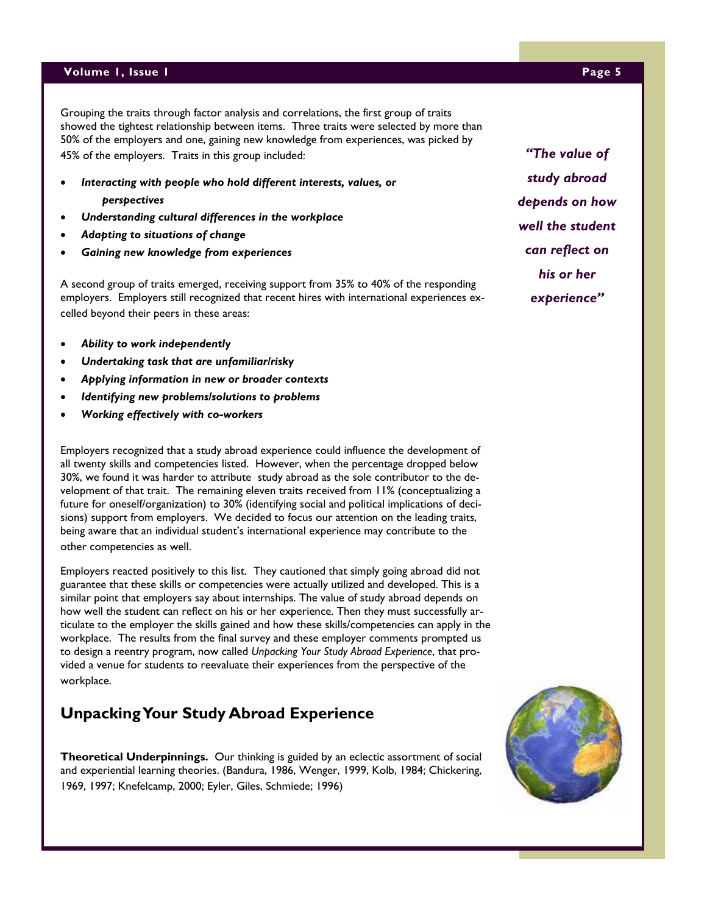## **Volume 1, Issue 1 Page 5**

Grouping the traits through factor analysis and correlations, the first group of traits showed the tightest relationship between items. Three traits were selected by more than 50% of the employers and one, gaining new knowledge from experiences, was picked by 45% of the employers. Traits in this group included:

- *Interacting with people who hold different interests, values, or perspectives*
- *Understanding cultural differences in the workplace*
- *Adapting to situations of change*
- *Gaining new knowledge from experiences*

A second group of traits emerged, receiving support from 35% to 40% of the responding employers. Employers still recognized that recent hires with international experiences excelled beyond their peers in these areas:

- *Ability to work independently*
- *Undertaking task that are unfamiliar/risky*
- *Applying information in new or broader contexts*
- *Identifying new problems/solutions to problems*
- *Working effectively with co-workers*

Employers recognized that a study abroad experience could influence the development of all twenty skills and competencies listed. However, when the percentage dropped below 30%, we found it was harder to attribute study abroad as the sole contributor to the development of that trait. The remaining eleven traits received from 11% (conceptualizing a future for oneself/organization) to 30% (identifying social and political implications of decisions) support from employers. We decided to focus our attention on the leading traits, being aware that an individual student's international experience may contribute to the other competencies as well.

Employers reacted positively to this list. They cautioned that simply going abroad did not guarantee that these skills or competencies were actually utilized and developed. This is a similar point that employers say about internships. The value of study abroad depends on how well the student can reflect on his or her experience. Then they must successfully articulate to the employer the skills gained and how these skills/competencies can apply in the workplace. The results from the final survey and these employer comments prompted us to design a reentry program, now called *Unpacking Your Study Abroad Experience*, that provided a venue for students to reevaluate their experiences from the perspective of the workplace.

# **Unpacking Your Study Abroad Experience**

**Theoretical Underpinnings.** Our thinking is guided by an eclectic assortment of social and experiential learning theories. (Bandura, 1986, Wenger, 1999, Kolb, 1984; Chickering, 1969, 1997; Knefelcamp, 2000; Eyler, Giles, Schmiede; 1996)

*"The value of study abroad depends on how well the student can reflect on* 

*his or her* 

*experience"* 



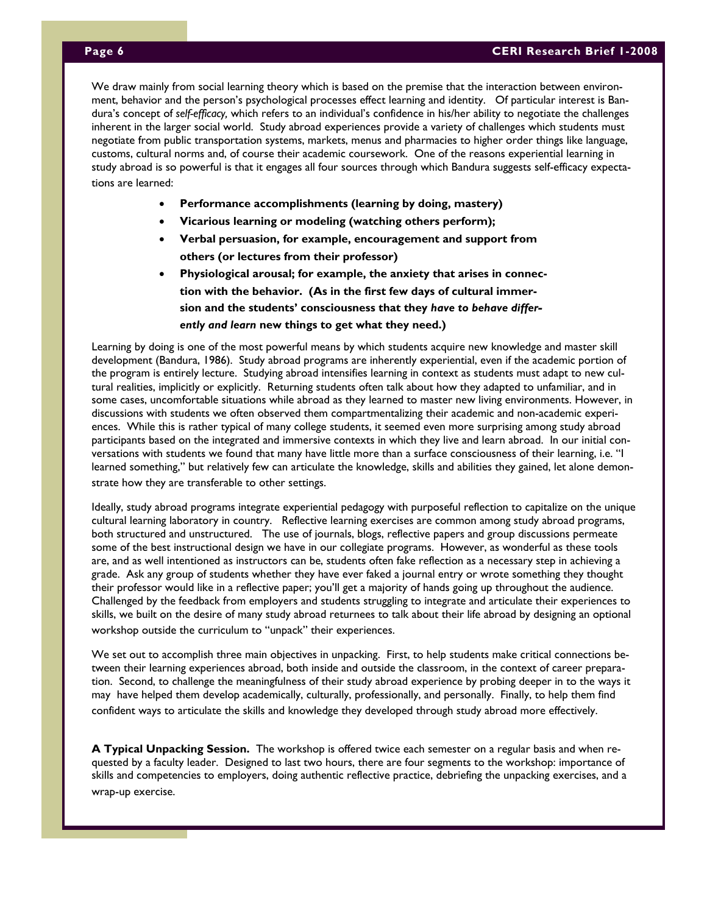dura's concept of self-efficacy, which refers to an individual's confidence in his/her ability to negotiate the challenges inherent in the larger social world. Study abroad experiences provide a variety of challenges which students must negotiate from public transportation systems, markets, menus and pharmacies to higher order things like language, customs, cultural norms and, of course their academic coursework. One of the reasons experiential learning in study abroad is so powerful is that it engages all four sources through which Bandura suggests self-efficacy expectations are learned: who at the some point  $\alpha$  some point,  $\alpha$  some point,  $\alpha$ We draw mainly from social learning theory which is based on the premise that the interaction between environment, behavior and the person's psychological processes effect learning and identity. Of particular interest is Ban-

- Performance accomplishments (learning by doing, mastery)
- **Vicarious learning or modeling (watching others perform);** 
	- **Verbal persuasion, for example, encouragement and support from others (or lectures from their professor)**
	- **Physiological arousal; for example, the anxiety that arises in connection with the behavior. (As in the first few days of cultural immersion and the students' consciousness that they** *have to behave differently and learn* **new things to get what they need.)**

Learning by doing is one of the most powerful means by which students acquire new knowledge and master skill development (Bandura, 1986). Study abroad programs are inherently experiential, even if the academic portion of the program is entirely lecture. Studying abroad intensifies learning in context as students must adapt to new cultural realities, implicitly or explicitly. Returning students often talk about how they adapted to unfamiliar, and in some cases, uncomfortable situations while abroad as they learned to master new living environments. However, in discussions with students we often observed them compartmentalizing their academic and non-academic experiences. While this is rather typical of many college students, it seemed even more surprising among study abroad participants based on the integrated and immersive contexts in which they live and learn abroad. In our initial conversations with students we found that many have little more than a surface consciousness of their learning, i.e. "I learned something," but relatively few can articulate the knowledge, skills and abilities they gained, let alone demonstrate how they are transferable to other settings.

Ideally, study abroad programs integrate experiential pedagogy with purposeful reflection to capitalize on the unique cultural learning laboratory in country. Reflective learning exercises are common among study abroad programs, both structured and unstructured. The use of journals, blogs, reflective papers and group discussions permeate some of the best instructional design we have in our collegiate programs. However, as wonderful as these tools are, and as well intentioned as instructors can be, students often fake reflection as a necessary step in achieving a grade. Ask any group of students whether they have ever faked a journal entry or wrote something they thought their professor would like in a reflective paper; you'll get a majority of hands going up throughout the audience. Challenged by the feedback from employers and students struggling to integrate and articulate their experiences to skills, we built on the desire of many study abroad returnees to talk about their life abroad by designing an optional workshop outside the curriculum to "unpack" their experiences.

We set out to accomplish three main objectives in unpacking. First, to help students make critical connections between their learning experiences abroad, both inside and outside the classroom, in the context of career preparation. Second, to challenge the meaningfulness of their study abroad experience by probing deeper in to the ways it may have helped them develop academically, culturally, professionally, and personally. Finally, to help them find confident ways to articulate the skills and knowledge they developed through study abroad more effectively.

**A Typical Unpacking Session.** The workshop is offered twice each semester on a regular basis and when requested by a faculty leader. Designed to last two hours, there are four segments to the workshop: importance of skills and competencies to employers, doing authentic reflective practice, debriefing the unpacking exercises, and a wrap-up exercise.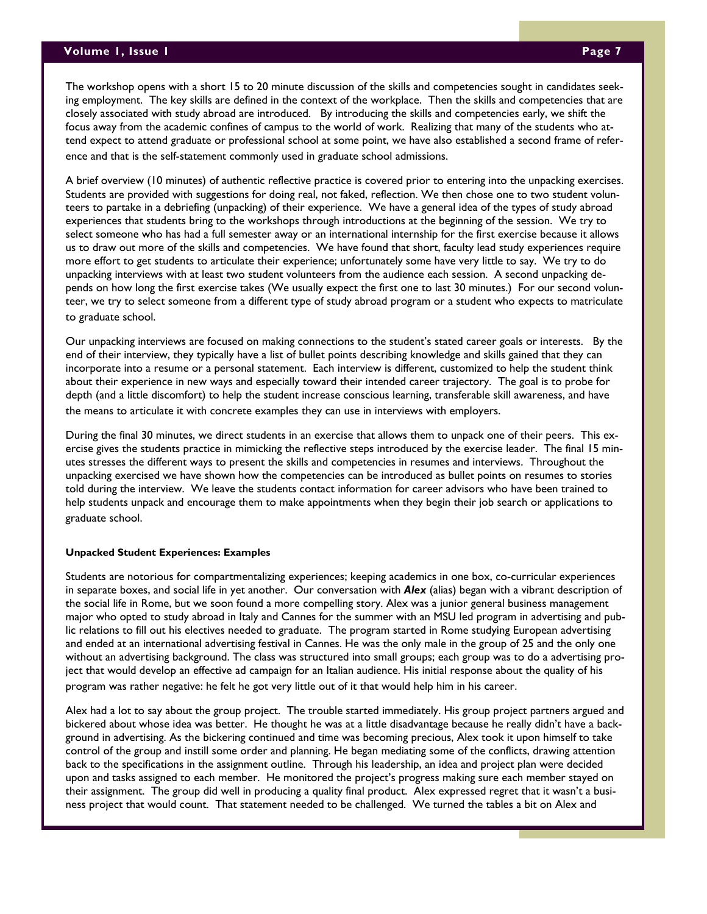The workshop opens with a short 15 to 20 minute discussion of the skills and competencies sought in candidates seeking employment. The key skills are defined in the context of the workplace. Then the skills and competencies that are closely associated with study abroad are introduced. By introducing the skills and competencies early, we shift the focus away from the academic confines of campus to the world of work. Realizing that many of the students who attend expect to attend graduate or professional school at some point, we have also established a second frame of reference and that is the self-statement commonly used in graduate school admissions.

A brief overview (10 minutes) of authentic reflective practice is covered prior to entering into the unpacking exercises. Students are provided with suggestions for doing real, not faked, reflection. We then chose one to two student volunteers to partake in a debriefing (unpacking) of their experience. We have a general idea of the types of study abroad experiences that students bring to the workshops through introductions at the beginning of the session. We try to select someone who has had a full semester away or an international internship for the first exercise because it allows us to draw out more of the skills and competencies. We have found that short, faculty lead study experiences require more effort to get students to articulate their experience; unfortunately some have very little to say. We try to do unpacking interviews with at least two student volunteers from the audience each session. A second unpacking depends on how long the first exercise takes (We usually expect the first one to last 30 minutes.) For our second volunteer, we try to select someone from a different type of study abroad program or a student who expects to matriculate to graduate school.

Our unpacking interviews are focused on making connections to the student's stated career goals or interests. By the end of their interview, they typically have a list of bullet points describing knowledge and skills gained that they can incorporate into a resume or a personal statement. Each interview is different, customized to help the student think about their experience in new ways and especially toward their intended career trajectory. The goal is to probe for depth (and a little discomfort) to help the student increase conscious learning, transferable skill awareness, and have the means to articulate it with concrete examples they can use in interviews with employers.

During the final 30 minutes, we direct students in an exercise that allows them to unpack one of their peers. This exercise gives the students practice in mimicking the reflective steps introduced by the exercise leader. The final 15 minutes stresses the different ways to present the skills and competencies in resumes and interviews. Throughout the unpacking exercised we have shown how the competencies can be introduced as bullet points on resumes to stories told during the interview. We leave the students contact information for career advisors who have been trained to help students unpack and encourage them to make appointments when they begin their job search or applications to graduate school.

### **Unpacked Student Experiences: Examples**

Students are notorious for compartmentalizing experiences; keeping academics in one box, co-curricular experiences in separate boxes, and social life in yet another. Our conversation with *Alex* (alias) began with a vibrant description of the social life in Rome, but we soon found a more compelling story. Alex was a junior general business management major who opted to study abroad in Italy and Cannes for the summer with an MSU led program in advertising and public relations to fill out his electives needed to graduate. The program started in Rome studying European advertising and ended at an international advertising festival in Cannes. He was the only male in the group of 25 and the only one without an advertising background. The class was structured into small groups; each group was to do a advertising project that would develop an effective ad campaign for an Italian audience. His initial response about the quality of his program was rather negative: he felt he got very little out of it that would help him in his career.

Alex had a lot to say about the group project. The trouble started immediately. His group project partners argued and bickered about whose idea was better. He thought he was at a little disadvantage because he really didn't have a background in advertising. As the bickering continued and time was becoming precious, Alex took it upon himself to take control of the group and instill some order and planning. He began mediating some of the conflicts, drawing attention back to the specifications in the assignment outline. Through his leadership, an idea and project plan were decided upon and tasks assigned to each member. He monitored the project's progress making sure each member stayed on their assignment. The group did well in producing a quality final product. Alex expressed regret that it wasn't a business project that would count. That statement needed to be challenged. We turned the tables a bit on Alex and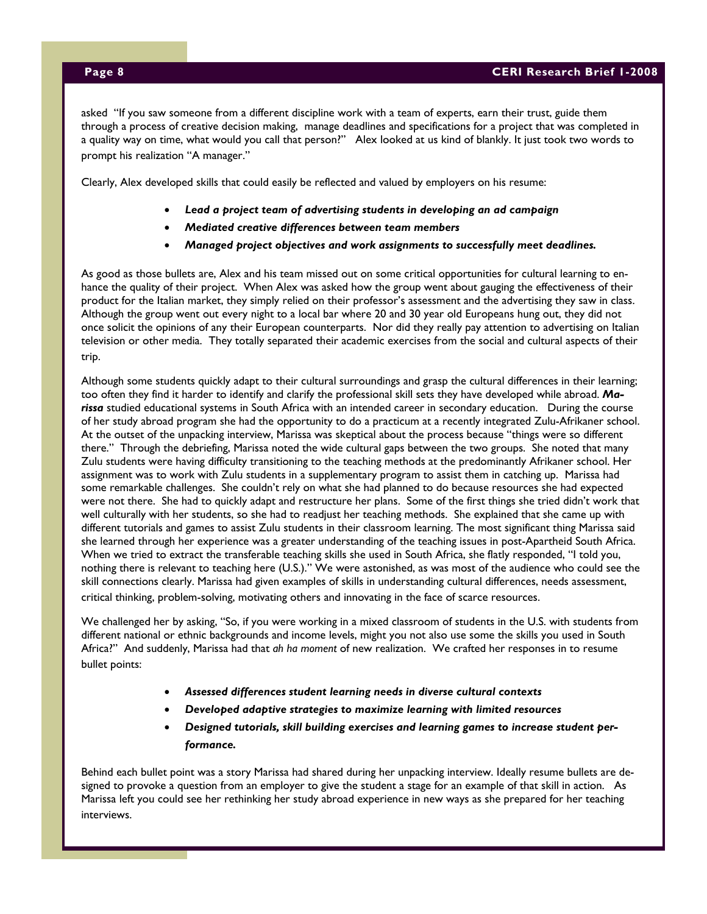asked "If you saw someone from a different discipline work with a team of experts, earn their trust, guide them through a process of creative decision making, manage deadlines and specifications for a project that was completed in a quality way on time, what would you call that person?" Alex looked at us kind of blankly. It just took two words to prompt his realization "A manager."

Clearly, Alex developed skills that could easily be reflected and valued by employers on his resume:

- *Lead a project team of advertising students in developing an ad campaign*
- *Mediated creative differences between team members*
- *Managed project objectives and work assignments to successfully meet deadlines.*

As good as those bullets are, Alex and his team missed out on some critical opportunities for cultural learning to enhance the quality of their project. When Alex was asked how the group went about gauging the effectiveness of their product for the Italian market, they simply relied on their professor's assessment and the advertising they saw in class. Although the group went out every night to a local bar where 20 and 30 year old Europeans hung out, they did not once solicit the opinions of any their European counterparts. Nor did they really pay attention to advertising on Italian television or other media. They totally separated their academic exercises from the social and cultural aspects of their trip.

Although some students quickly adapt to their cultural surroundings and grasp the cultural differences in their learning; too often they find it harder to identify and clarify the professional skill sets they have developed while abroad. *Marissa* studied educational systems in South Africa with an intended career in secondary education. During the course of her study abroad program she had the opportunity to do a practicum at a recently integrated Zulu-Afrikaner school. At the outset of the unpacking interview, Marissa was skeptical about the process because "things were so different there." Through the debriefing, Marissa noted the wide cultural gaps between the two groups. She noted that many Zulu students were having difficulty transitioning to the teaching methods at the predominantly Afrikaner school. Her assignment was to work with Zulu students in a supplementary program to assist them in catching up. Marissa had some remarkable challenges. She couldn't rely on what she had planned to do because resources she had expected were not there. She had to quickly adapt and restructure her plans. Some of the first things she tried didn't work that well culturally with her students, so she had to readjust her teaching methods. She explained that she came up with different tutorials and games to assist Zulu students in their classroom learning. The most significant thing Marissa said she learned through her experience was a greater understanding of the teaching issues in post-Apartheid South Africa. When we tried to extract the transferable teaching skills she used in South Africa, she flatly responded, "I told you, nothing there is relevant to teaching here (U.S.)." We were astonished, as was most of the audience who could see the skill connections clearly. Marissa had given examples of skills in understanding cultural differences, needs assessment, critical thinking, problem-solving, motivating others and innovating in the face of scarce resources.

We challenged her by asking, "So, if you were working in a mixed classroom of students in the U.S. with students from different national or ethnic backgrounds and income levels, might you not also use some the skills you used in South Africa?" And suddenly, Marissa had that *ah ha moment* of new realization. We crafted her responses in to resume bullet points:

- *Assessed differences student learning needs in diverse cultural contexts*
- *Developed adaptive strategies to maximize learning with limited resources*
- *Designed tutorials, skill building exercises and learning games to increase student performance.*

Behind each bullet point was a story Marissa had shared during her unpacking interview. Ideally resume bullets are designed to provoke a question from an employer to give the student a stage for an example of that skill in action. As Marissa left you could see her rethinking her study abroad experience in new ways as she prepared for her teaching interviews.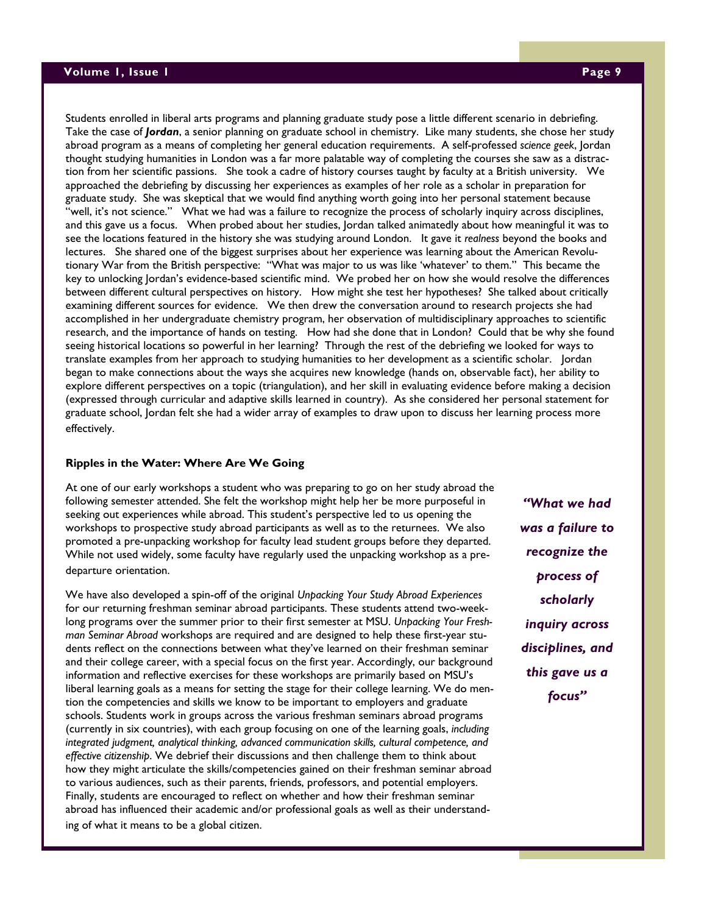## **Volume 1, Issue 1 Page 9**

Students enrolled in liberal arts programs and planning graduate study pose a little different scenario in debriefing. Take the case of *Jordan*, a senior planning on graduate school in chemistry. Like many students, she chose her study abroad program as a means of completing her general education requirements. A self-professed *science geek*, Jordan thought studying humanities in London was a far more palatable way of completing the courses she saw as a distraction from her scientific passions. She took a cadre of history courses taught by faculty at a British university. We approached the debriefing by discussing her experiences as examples of her role as a scholar in preparation for graduate study. She was skeptical that we would find anything worth going into her personal statement because "well, it's not science." What we had was a failure to recognize the process of scholarly inquiry across disciplines, and this gave us a focus. When probed about her studies, Jordan talked animatedly about how meaningful it was to see the locations featured in the history she was studying around London. It gave it *realness* beyond the books and lectures. She shared one of the biggest surprises about her experience was learning about the American Revolutionary War from the British perspective: "What was major to us was like 'whatever' to them." This became the key to unlocking Jordan's evidence-based scientific mind. We probed her on how she would resolve the differences between different cultural perspectives on history. How might she test her hypotheses? She talked about critically examining different sources for evidence. We then drew the conversation around to research projects she had accomplished in her undergraduate chemistry program, her observation of multidisciplinary approaches to scientific research, and the importance of hands on testing. How had she done that in London? Could that be why she found seeing historical locations so powerful in her learning? Through the rest of the debriefing we looked for ways to translate examples from her approach to studying humanities to her development as a scientific scholar. Jordan began to make connections about the ways she acquires new knowledge (hands on, observable fact), her ability to explore different perspectives on a topic (triangulation), and her skill in evaluating evidence before making a decision (expressed through curricular and adaptive skills learned in country). As she considered her personal statement for graduate school, Jordan felt she had a wider array of examples to draw upon to discuss her learning process more effectively.

## **Ripples in the Water: Where Are We Going**

At one of our early workshops a student who was preparing to go on her study abroad the following semester attended. She felt the workshop might help her be more purposeful in seeking out experiences while abroad. This student's perspective led to us opening the workshops to prospective study abroad participants as well as to the returnees. We also promoted a pre-unpacking workshop for faculty lead student groups before they departed. While not used widely, some faculty have regularly used the unpacking workshop as a predeparture orientation.

We have also developed a spin-off of the original *Unpacking Your Study Abroad Experiences* for our returning freshman seminar abroad participants. These students attend two-weeklong programs over the summer prior to their first semester at MSU. *Unpacking Your Freshman Seminar Abroad* workshops are required and are designed to help these first-year students reflect on the connections between what they've learned on their freshman seminar and their college career, with a special focus on the first year. Accordingly, our background information and reflective exercises for these workshops are primarily based on MSU's liberal learning goals as a means for setting the stage for their college learning. We do mention the competencies and skills we know to be important to employers and graduate schools. Students work in groups across the various freshman seminars abroad programs (currently in six countries), with each group focusing on one of the learning goals, *including integrated judgment, analytical thinking, advanced communication skills, cultural competence, and effective citizenship*. We debrief their discussions and then challenge them to think about how they might articulate the skills/competencies gained on their freshman seminar abroad to various audiences, such as their parents, friends, professors, and potential employers. Finally, students are encouraged to reflect on whether and how their freshman seminar abroad has influenced their academic and/or professional goals as well as their understanding of what it means to be a global citizen.

*"What we had was a failure to recognize the process of scholarly inquiry across disciplines, and this gave us a focus"*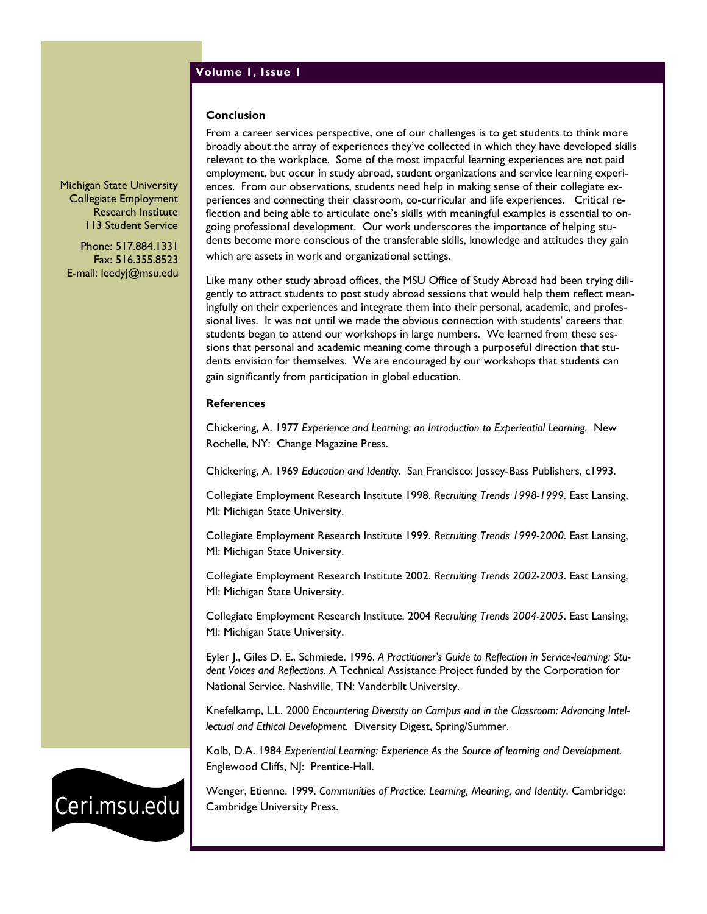# **Volume 1, Issue 1**

### **Conclusion**

Michigan State University Collegiate Employment Research Institute 113 Student Service

Phone: 517.884.1331 Fax: 516.355.8523 E-mail: leedyj@msu.edu From a career services perspective, one of our challenges is to get students to think more broadly about the array of experiences they've collected in which they have developed skills relevant to the workplace. Some of the most impactful learning experiences are not paid employment, but occur in study abroad, student organizations and service learning experiences. From our observations, students need help in making sense of their collegiate experiences and connecting their classroom, co-curricular and life experiences. Critical reflection and being able to articulate one's skills with meaningful examples is essential to ongoing professional development. Our work underscores the importance of helping students become more conscious of the transferable skills, knowledge and attitudes they gain which are assets in work and organizational settings.

Like many other study abroad offices, the MSU Office of Study Abroad had been trying diligently to attract students to post study abroad sessions that would help them reflect meaningfully on their experiences and integrate them into their personal, academic, and professional lives. It was not until we made the obvious connection with students' careers that students began to attend our workshops in large numbers. We learned from these sessions that personal and academic meaning come through a purposeful direction that students envision for themselves. We are encouraged by our workshops that students can gain significantly from participation in global education.

## **References**

Chickering, A. 1977 *Experience and Learning: an Introduction to Experiential Learning.* New Rochelle, NY: Change Magazine Press.

Chickering, A. 1969 *Education and Identity.* San Francisco: Jossey-Bass Publishers, c1993.

Collegiate Employment Research Institute 1998. *Recruiting Trends 1998-1999*. East Lansing, MI: Michigan State University.

Collegiate Employment Research Institute 1999. *Recruiting Trends 1999-2000*. East Lansing, MI: Michigan State University.

Collegiate Employment Research Institute 2002. *Recruiting Trends 2002-2003*. East Lansing, MI: Michigan State University.

Collegiate Employment Research Institute. 2004 *Recruiting Trends 2004-2005*. East Lansing, MI: Michigan State University.

Eyler J., Giles D. E., Schmiede. 1996. *A Practitioner's Guide to Reflection in Service-learning: Student Voices and Reflections.* A Technical Assistance Project funded by the Corporation for National Service. Nashville, TN: Vanderbilt University.

Knefelkamp, L.L. 2000 *Encountering Diversity on Campus and in the Classroom: Advancing Intellectual and Ethical Development.* Diversity Digest, Spring/Summer.

Kolb, D.A. 1984 *Experiential Learning: Experience As the Source of learning and Development.* Englewood Cliffs, NJ: Prentice-Hall.

Wenger, Etienne. 1999. *Communities of Practice: Learning, Meaning, and Identity*. Cambridge: Cambridge University Press.